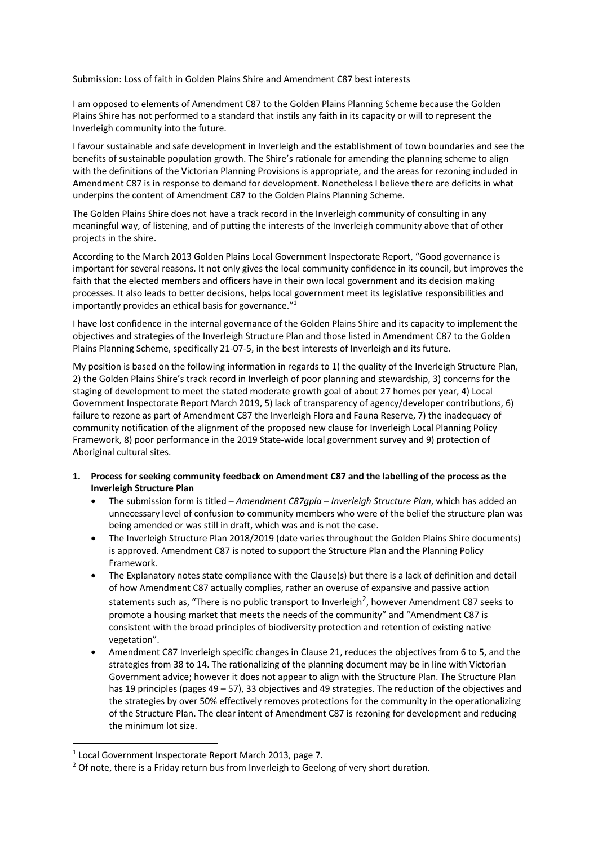## Submission: Loss of faith in Golden Plains Shire and Amendment C87 best interests

I am opposed to elements of Amendment C87 to the Golden Plains Planning Scheme because the Golden Plains Shire has not performed to a standard that instils any faith in its capacity or will to represent the Inverleigh community into the future.

I favour sustainable and safe development in Inverleigh and the establishment of town boundaries and see the benefits of sustainable population growth. The Shire's rationale for amending the planning scheme to align with the definitions of the Victorian Planning Provisions is appropriate, and the areas for rezoning included in Amendment C87 is in response to demand for development. Nonetheless I believe there are deficits in what underpins the content of Amendment C87 to the Golden Plains Planning Scheme.

The Golden Plains Shire does not have a track record in the Inverleigh community of consulting in any meaningful way, of listening, and of putting the interests of the Inverleigh community above that of other projects in the shire.

According to the March 2013 Golden Plains Local Government Inspectorate Report, "Good governance is important for several reasons. It not only gives the local community confidence in its council, but improves the faith that the elected members and officers have in their own local government and its decision making processes. It also leads to better decisions, helps local government meet its legislative responsibilities and importantly provides an ethical basis for governance."1

I have lost confidence in the internal governance of the Golden Plains Shire and its capacity to implement the objectives and strategies of the Inverleigh Structure Plan and those listed in Amendment C87 to the Golden Plains Planning Scheme, specifically 21-07-5, in the best interests of Inverleigh and its future.

My position is based on the following information in regards to 1) the quality of the Inverleigh Structure Plan, 2) the Golden Plains Shire's track record in Inverleigh of poor planning and stewardship, 3) concerns for the staging of development to meet the stated moderate growth goal of about 27 homes per year, 4) Local Government Inspectorate Report March 2019, 5) lack of transparency of agency/developer contributions, 6) failure to rezone as part of Amendment C87 the Inverleigh Flora and Fauna Reserve, 7) the inadequacy of community notification of the alignment of the proposed new clause for Inverleigh Local Planning Policy Framework, 8) poor performance in the 2019 State-wide local government survey and 9) protection of Aboriginal cultural sites.

- **1. Process for seeking community feedback on Amendment C87 and the labelling of the process as the Inverleigh Structure Plan**
	- The submission form is titled *Amendment C87gpla – Inverleigh Structure Plan*, which has added an unnecessary level of confusion to community members who were of the belief the structure plan was being amended or was still in draft, which was and is not the case.
	- The Inverleigh Structure Plan 2018/2019 (date varies throughout the Golden Plains Shire documents) is approved. Amendment C87 is noted to support the Structure Plan and the Planning Policy Framework.
	- The Explanatory notes state compliance with the Clause(s) but there is a lack of definition and detail of how Amendment C87 actually complies, rather an overuse of expansive and passive action statements such as, "There is no public transport to Inverleigh<sup>2</sup>, however Amendment C87 seeks to promote a housing market that meets the needs of the community" and "Amendment C87 is consistent with the broad principles of biodiversity protection and retention of existing native vegetation".
	- Amendment C87 Inverleigh specific changes in Clause 21, reduces the objectives from 6 to 5, and the strategies from 38 to 14. The rationalizing of the planning document may be in line with Victorian Government advice; however it does not appear to align with the Structure Plan. The Structure Plan has 19 principles (pages 49 – 57), 33 objectives and 49 strategies. The reduction of the objectives and the strategies by over 50% effectively removes protections for the community in the operationalizing of the Structure Plan. The clear intent of Amendment C87 is rezoning for development and reducing the minimum lot size.

<sup>&</sup>lt;sup>1</sup> Local Government Inspectorate Report March 2013, page 7.<br><sup>2</sup> Of note, there is a Friday return bus from Inverleigh to Geelong of very short duration.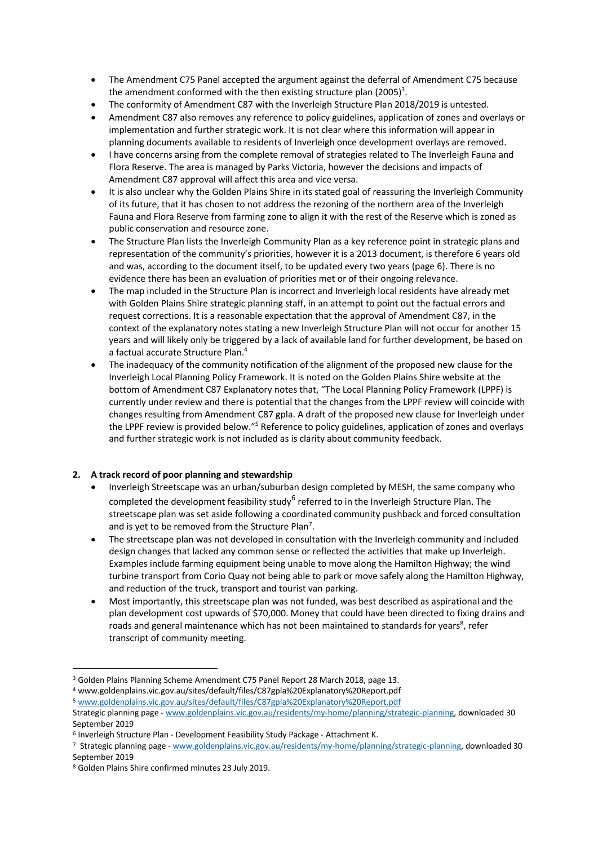- The Amendment C75 Panel accepted the argument against the deferral of Amendment C75 because the amendment conformed with the then existing structure plan (2005)<sup>3</sup>.
- The conformity of Amendment C87 with the Inverleigh Structure Plan 2018/2019 is untested.
- Amendment C87 also removes any reference to policy guidelines, application of zones and overlays or implementation and further strategic work. It is not clear where this information will appear in planning documents available to residents of Inverleigh once development overlays are removed.
- I have concerns arsing from the complete removal of strategies related to The Inverleigh Fauna and Flora Reserve. The area is managed by Parks Victoria, however the decisions and impacts of Amendment C87 approval will affect this area and vice versa.
- It is also unclear why the Golden Plains Shire in its stated goal of reassuring the Inverleigh Community of its future, that it has chosen to not address the rezoning of the northern area of the Inverleigh Fauna and Flora Reserve from farming zone to align it with the rest of the Reserve which is zoned as public conservation and resource zone.
- The Structure Plan lists the Inverleigh Community Plan as a key reference point in strategic plans and representation of the community's priorities, however it is a 2013 document, is therefore 6 years old and was, according to the document itself, to be updated every two years (page 6). There is no evidence there has been an evaluation of priorities met or of their ongoing relevance.
- The map included in the Structure Plan is incorrect and Inverleigh local residents have already met with Golden Plains Shire strategic planning staff, in an attempt to point out the factual errors and request corrections. It is a reasonable expectation that the approval of Amendment C87, in the context of the explanatory notes stating a new Inverleigh Structure Plan will not occur for another 15 years and will likely only be triggered by a lack of available land for further development, be based on a factual accurate Structure Plan. 4
- The inadequacy of the community notification of the alignment of the proposed new clause for the Inverleigh Local Planning Policy Framework. It is noted on the Golden Plains Shire website at the bottom of Amendment C87 Explanatory notes that, "The Local Planning Policy Framework (LPPF) is currently under review and there is potential that the changes from the LPPF review will coincide with changes resulting from Amendment C87 gpla. A draft of the proposed new clause for Inverleigh under the LPPF review is provided below."<sup>5</sup> Reference to policy guidelines, application of zones and overlays and further strategic work is not included as is clarity about community feedback.

# **2. A track record of poor planning and stewardship**

- Inverleigh Streetscape was an urban/suburban design completed by MESH, the same company who completed the development feasibility study<sup>6</sup> referred to in the Inverleigh Structure Plan. The streetscape plan was set aside following a coordinated community pushback and forced consultation and is yet to be removed from the Structure Plan<sup>7</sup>.
- The streetscape plan was not developed in consultation with the Inverleigh community and included design changes that lacked any common sense or reflected the activities that make up Inverleigh. Examples include farming equipment being unable to move along the Hamilton Highway; the wind turbine transport from Corio Quay not being able to park or move safely along the Hamilton Highway, and reduction of the truck, transport and tourist van parking.
- Most importantly, this streetscape plan was not funded, was best described as aspirational and the plan development cost upwards of \$70,000. Money that could have been directed to fixing drains and roads and general maintenance which has not been maintained to standards for years<sup>8</sup>, refer transcript of community meeting.

<sup>3</sup> Golden Plains Planning Scheme Amendment C75 Panel Report 28 March 2018, page 13.

<sup>4</sup> www.goldenplains.vic.gov.au/sites/default/files/C87gpla%20Explanatory%20Report.pdf

<sup>5</sup> www.goldenplains.vic.gov.au/sites/default/files/C87gpla%20Explanatory%20Report.pdf Strategic planning page - www.goldenplains.vic.gov.au/residents/my-home/planning/strategic-planning, downloaded 30 September 2019

<sup>6</sup> Inverleigh Structure Plan - Development Feasibility Study Package - Attachment K.

<sup>7</sup> Strategic planning page - www.goldenplains.vic.gov.au/residents/my-home/planning/strategic-planning, downloaded 30 September 2019

<sup>8</sup> Golden Plains Shire confirmed minutes 23 July 2019.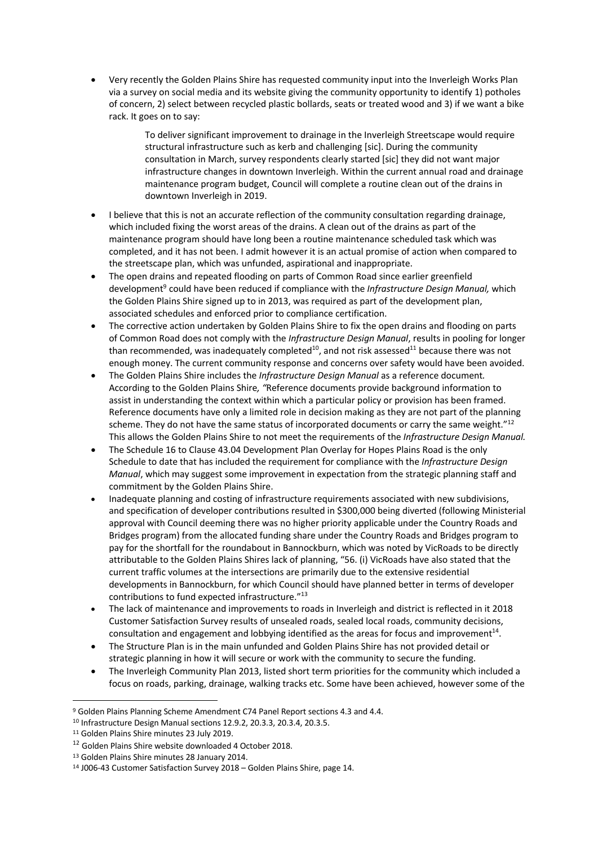• Very recently the Golden Plains Shire has requested community input into the Inverleigh Works Plan via a survey on social media and its website giving the community opportunity to identify 1) potholes of concern, 2) select between recycled plastic bollards, seats or treated wood and 3) if we want a bike rack. It goes on to say:

> To deliver significant improvement to drainage in the Inverleigh Streetscape would require structural infrastructure such as kerb and challenging [sic]. During the community consultation in March, survey respondents clearly started [sic] they did not want major infrastructure changes in downtown Inverleigh. Within the current annual road and drainage maintenance program budget, Council will complete a routine clean out of the drains in downtown Inverleigh in 2019.

- I believe that this is not an accurate reflection of the community consultation regarding drainage, which included fixing the worst areas of the drains. A clean out of the drains as part of the maintenance program should have long been a routine maintenance scheduled task which was completed, and it has not been. I admit however it is an actual promise of action when compared to the streetscape plan, which was unfunded, aspirational and inappropriate.
- The open drains and repeated flooding on parts of Common Road since earlier greenfield development9 could have been reduced if compliance with the *Infrastructure Design Manual,* which the Golden Plains Shire signed up to in 2013, was required as part of the development plan, associated schedules and enforced prior to compliance certification.
- The corrective action undertaken by Golden Plains Shire to fix the open drains and flooding on parts of Common Road does not comply with the *Infrastructure Design Manual*, results in pooling for longer than recommended, was inadequately completed<sup>10</sup>, and not risk assessed<sup>11</sup> because there was not enough money. The current community response and concerns over safety would have been avoided.
- The Golden Plains Shire includes the *Infrastructure Design Manual* as a reference document*.*  According to the Golden Plains Shire*, "*Reference documents provide background information to assist in understanding the context within which a particular policy or provision has been framed. Reference documents have only a limited role in decision making as they are not part of the planning scheme. They do not have the same status of incorporated documents or carry the same weight."<sup>12</sup> This allows the Golden Plains Shire to not meet the requirements of the *Infrastructure Design Manual.*
- The Schedule 16 to Clause 43.04 Development Plan Overlay for Hopes Plains Road is the only Schedule to date that has included the requirement for compliance with the *Infrastructure Design Manual*, which may suggest some improvement in expectation from the strategic planning staff and commitment by the Golden Plains Shire.
- Inadequate planning and costing of infrastructure requirements associated with new subdivisions, and specification of developer contributions resulted in \$300,000 being diverted (following Ministerial approval with Council deeming there was no higher priority applicable under the Country Roads and Bridges program) from the allocated funding share under the Country Roads and Bridges program to pay for the shortfall for the roundabout in Bannockburn, which was noted by VicRoads to be directly attributable to the Golden Plains Shires lack of planning, "56. (i) VicRoads have also stated that the current traffic volumes at the intersections are primarily due to the extensive residential developments in Bannockburn, for which Council should have planned better in terms of developer contributions to fund expected infrastructure."13
- The lack of maintenance and improvements to roads in Inverleigh and district is reflected in it 2018 Customer Satisfaction Survey results of unsealed roads, sealed local roads, community decisions, consultation and engagement and lobbying identified as the areas for focus and improvement<sup>14</sup>.
- The Structure Plan is in the main unfunded and Golden Plains Shire has not provided detail or strategic planning in how it will secure or work with the community to secure the funding.
- The Inverleigh Community Plan 2013, listed short term priorities for the community which included a focus on roads, parking, drainage, walking tracks etc. Some have been achieved, however some of the

<sup>9</sup> Golden Plains Planning Scheme Amendment C74 Panel Report sections 4.3 and 4.4.

<sup>10</sup> Infrastructure Design Manual sections 12.9.2, 20.3.3, 20.3.4, 20.3.5.

<sup>11</sup> Golden Plains Shire minutes 23 July 2019.

<sup>12</sup> Golden Plains Shire website downloaded 4 October 2018.

<sup>13</sup> Golden Plains Shire minutes 28 January 2014.

<sup>14</sup> J006-43 Customer Satisfaction Survey 2018 – Golden Plains Shire, page 14.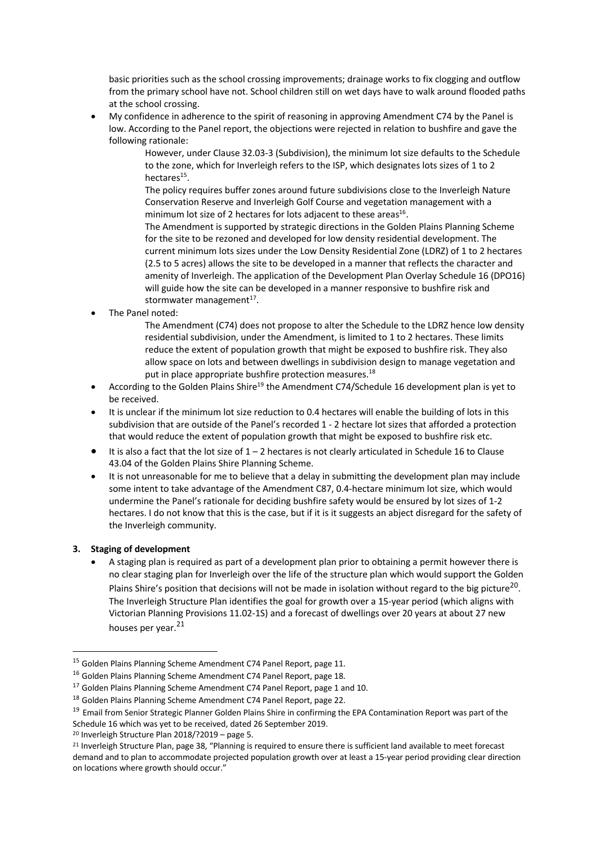basic priorities such as the school crossing improvements; drainage works to fix clogging and outflow from the primary school have not. School children still on wet days have to walk around flooded paths at the school crossing.

• My confidence in adherence to the spirit of reasoning in approving Amendment C74 by the Panel is low. According to the Panel report, the objections were rejected in relation to bushfire and gave the following rationale:

> However, under Clause 32.03-3 (Subdivision), the minimum lot size defaults to the Schedule to the zone, which for Inverleigh refers to the ISP, which designates lots sizes of 1 to 2 hectares $15$ .

The policy requires buffer zones around future subdivisions close to the Inverleigh Nature Conservation Reserve and Inverleigh Golf Course and vegetation management with a minimum lot size of 2 hectares for lots adjacent to these areas $^{16}$ .

The Amendment is supported by strategic directions in the Golden Plains Planning Scheme for the site to be rezoned and developed for low density residential development. The current minimum lots sizes under the Low Density Residential Zone (LDRZ) of 1 to 2 hectares (2.5 to 5 acres) allows the site to be developed in a manner that reflects the character and amenity of Inverleigh. The application of the Development Plan Overlay Schedule 16 (DPO16) will guide how the site can be developed in a manner responsive to bushfire risk and stormwater management $^{17}$ .

• The Panel noted:

The Amendment (C74) does not propose to alter the Schedule to the LDRZ hence low density residential subdivision, under the Amendment, is limited to 1 to 2 hectares. These limits reduce the extent of population growth that might be exposed to bushfire risk. They also allow space on lots and between dwellings in subdivision design to manage vegetation and put in place appropriate bushfire protection measures.<sup>18</sup>

- According to the Golden Plains Shire<sup>19</sup> the Amendment C74/Schedule 16 development plan is yet to be received.
- It is unclear if the minimum lot size reduction to 0.4 hectares will enable the building of lots in this subdivision that are outside of the Panel's recorded 1 - 2 hectare lot sizes that afforded a protection that would reduce the extent of population growth that might be exposed to bushfire risk etc.
- It is also a fact that the lot size of 1 2 hectares is not clearly articulated in Schedule 16 to Clause 43.04 of the Golden Plains Shire Planning Scheme.
- It is not unreasonable for me to believe that a delay in submitting the development plan may include some intent to take advantage of the Amendment C87, 0.4-hectare minimum lot size, which would undermine the Panel's rationale for deciding bushfire safety would be ensured by lot sizes of 1-2 hectares. I do not know that this is the case, but if it is it suggests an abject disregard for the safety of the Inverleigh community.

## **3. Staging of development**

• A staging plan is required as part of a development plan prior to obtaining a permit however there is no clear staging plan for Inverleigh over the life of the structure plan which would support the Golden Plains Shire's position that decisions will not be made in isolation without regard to the big picture<sup>20</sup>. The Inverleigh Structure Plan identifies the goal for growth over a 15-year period (which aligns with Victorian Planning Provisions 11.02-1S) and a forecast of dwellings over 20 years at about 27 new houses per year.<sup>21</sup>

<sup>&</sup>lt;sup>15</sup> Golden Plains Planning Scheme Amendment C74 Panel Report, page 11.

<sup>&</sup>lt;sup>16</sup> Golden Plains Planning Scheme Amendment C74 Panel Report, page 18.

<sup>&</sup>lt;sup>17</sup> Golden Plains Planning Scheme Amendment C74 Panel Report, page 1 and 10.

<sup>&</sup>lt;sup>18</sup> Golden Plains Planning Scheme Amendment C74 Panel Report, page 22.

<sup>&</sup>lt;sup>19</sup> Email from Senior Strategic Planner Golden Plains Shire in confirming the EPA Contamination Report was part of the Schedule 16 which was yet to be received, dated 26 September 2019.

<sup>20</sup> Inverleigh Structure Plan 2018/?2019 – page 5.

<sup>&</sup>lt;sup>21</sup> Inverleigh Structure Plan, page 38, "Planning is required to ensure there is sufficient land available to meet forecast demand and to plan to accommodate projected population growth over at least a 15-year period providing clear direction on locations where growth should occur."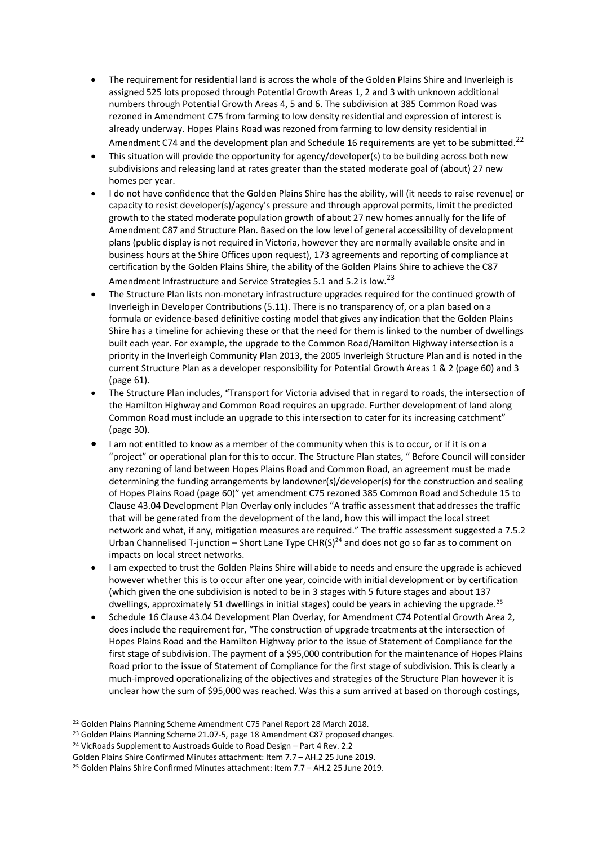- The requirement for residential land is across the whole of the Golden Plains Shire and Inverleigh is assigned 525 lots proposed through Potential Growth Areas 1, 2 and 3 with unknown additional numbers through Potential Growth Areas 4, 5 and 6. The subdivision at 385 Common Road was rezoned in Amendment C75 from farming to low density residential and expression of interest is already underway. Hopes Plains Road was rezoned from farming to low density residential in Amendment C74 and the development plan and Schedule 16 requirements are yet to be submitted.<sup>22</sup>
- This situation will provide the opportunity for agency/developer(s) to be building across both new subdivisions and releasing land at rates greater than the stated moderate goal of (about) 27 new homes per year.
- I do not have confidence that the Golden Plains Shire has the ability, will (it needs to raise revenue) or capacity to resist developer(s)/agency's pressure and through approval permits, limit the predicted growth to the stated moderate population growth of about 27 new homes annually for the life of Amendment C87 and Structure Plan. Based on the low level of general accessibility of development plans (public display is not required in Victoria, however they are normally available onsite and in business hours at the Shire Offices upon request), 173 agreements and reporting of compliance at certification by the Golden Plains Shire, the ability of the Golden Plains Shire to achieve the C87 Amendment Infrastructure and Service Strategies 5.1 and 5.2 is low.<sup>23</sup>
- The Structure Plan lists non-monetary infrastructure upgrades required for the continued growth of Inverleigh in Developer Contributions (5.11). There is no transparency of, or a plan based on a formula or evidence-based definitive costing model that gives any indication that the Golden Plains Shire has a timeline for achieving these or that the need for them is linked to the number of dwellings built each year. For example, the upgrade to the Common Road/Hamilton Highway intersection is a priority in the Inverleigh Community Plan 2013, the 2005 Inverleigh Structure Plan and is noted in the current Structure Plan as a developer responsibility for Potential Growth Areas 1 & 2 (page 60) and 3 (page 61).
- The Structure Plan includes, "Transport for Victoria advised that in regard to roads, the intersection of the Hamilton Highway and Common Road requires an upgrade. Further development of land along Common Road must include an upgrade to this intersection to cater for its increasing catchment" (page 30).
- I am not entitled to know as a member of the community when this is to occur, or if it is on a "project" or operational plan for this to occur. The Structure Plan states, " Before Council will consider any rezoning of land between Hopes Plains Road and Common Road, an agreement must be made determining the funding arrangements by landowner(s)/developer(s) for the construction and sealing of Hopes Plains Road (page 60)" yet amendment C75 rezoned 385 Common Road and Schedule 15 to Clause 43.04 Development Plan Overlay only includes "A traffic assessment that addresses the traffic that will be generated from the development of the land, how this will impact the local street network and what, if any, mitigation measures are required." The traffic assessment suggested a 7.5.2 Urban Channelised T-junction – Short Lane Type CHR(S)<sup>24</sup> and does not go so far as to comment on impacts on local street networks.
- I am expected to trust the Golden Plains Shire will abide to needs and ensure the upgrade is achieved however whether this is to occur after one year, coincide with initial development or by certification (which given the one subdivision is noted to be in 3 stages with 5 future stages and about 137 dwellings, approximately 51 dwellings in initial stages) could be years in achieving the upgrade.<sup>25</sup>
- Schedule 16 Clause 43.04 Development Plan Overlay, for Amendment C74 Potential Growth Area 2, does include the requirement for, "The construction of upgrade treatments at the intersection of Hopes Plains Road and the Hamilton Highway prior to the issue of Statement of Compliance for the first stage of subdivision. The payment of a \$95,000 contribution for the maintenance of Hopes Plains Road prior to the issue of Statement of Compliance for the first stage of subdivision. This is clearly a much-improved operationalizing of the objectives and strategies of the Structure Plan however it is unclear how the sum of \$95,000 was reached. Was this a sum arrived at based on thorough costings,

<sup>&</sup>lt;sup>22</sup> Golden Plains Planning Scheme Amendment C75 Panel Report 28 March 2018.

<sup>&</sup>lt;sup>23</sup> Golden Plains Planning Scheme 21.07-5, page 18 Amendment C87 proposed changes.

<sup>&</sup>lt;sup>24</sup> VicRoads Supplement to Austroads Guide to Road Design - Part 4 Rev. 2.2

Golden Plains Shire Confirmed Minutes attachment: Item 7.7 – AH.2 25 June 2019.

<sup>25</sup> Golden Plains Shire Confirmed Minutes attachment: Item 7.7 – AH.2 25 June 2019.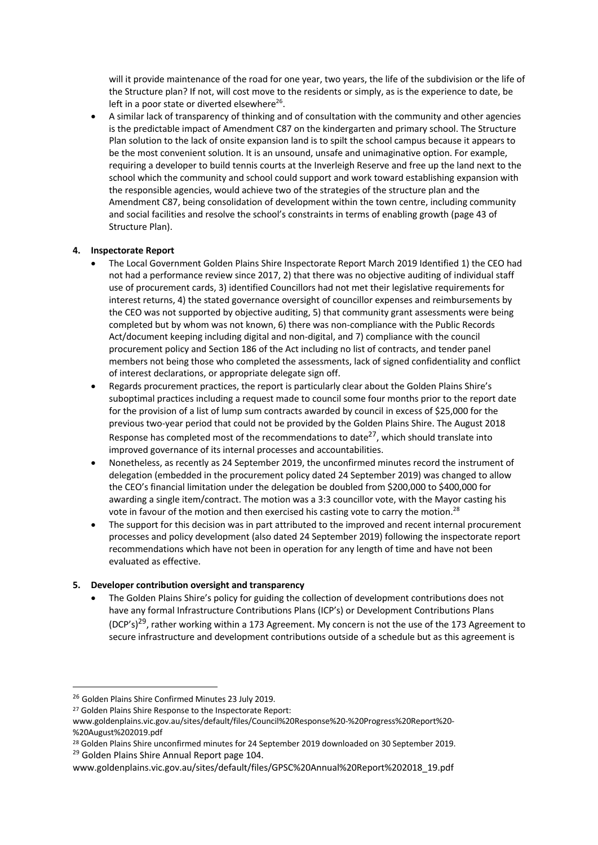will it provide maintenance of the road for one year, two years, the life of the subdivision or the life of the Structure plan? If not, will cost move to the residents or simply, as is the experience to date, be left in a poor state or diverted elsewhere $^{26}$ .

• A similar lack of transparency of thinking and of consultation with the community and other agencies is the predictable impact of Amendment C87 on the kindergarten and primary school. The Structure Plan solution to the lack of onsite expansion land is to spilt the school campus because it appears to be the most convenient solution. It is an unsound, unsafe and unimaginative option. For example, requiring a developer to build tennis courts at the Inverleigh Reserve and free up the land next to the school which the community and school could support and work toward establishing expansion with the responsible agencies, would achieve two of the strategies of the structure plan and the Amendment C87, being consolidation of development within the town centre, including community and social facilities and resolve the school's constraints in terms of enabling growth (page 43 of Structure Plan).

## **4. Inspectorate Report**

- The Local Government Golden Plains Shire Inspectorate Report March 2019 Identified 1) the CEO had not had a performance review since 2017, 2) that there was no objective auditing of individual staff use of procurement cards, 3) identified Councillors had not met their legislative requirements for interest returns, 4) the stated governance oversight of councillor expenses and reimbursements by the CEO was not supported by objective auditing, 5) that community grant assessments were being completed but by whom was not known, 6) there was non-compliance with the Public Records Act/document keeping including digital and non-digital, and 7) compliance with the council procurement policy and Section 186 of the Act including no list of contracts, and tender panel members not being those who completed the assessments, lack of signed confidentiality and conflict of interest declarations, or appropriate delegate sign off.
- Regards procurement practices, the report is particularly clear about the Golden Plains Shire's suboptimal practices including a request made to council some four months prior to the report date for the provision of a list of lump sum contracts awarded by council in excess of \$25,000 for the previous two-year period that could not be provided by the Golden Plains Shire. The August 2018 Response has completed most of the recommendations to date<sup>27</sup>, which should translate into improved governance of its internal processes and accountabilities.
- Nonetheless, as recently as 24 September 2019, the unconfirmed minutes record the instrument of delegation (embedded in the procurement policy dated 24 September 2019) was changed to allow the CEO's financial limitation under the delegation be doubled from \$200,000 to \$400,000 for awarding a single item/contract. The motion was a 3:3 councillor vote, with the Mayor casting his vote in favour of the motion and then exercised his casting vote to carry the motion.<sup>28</sup>
- The support for this decision was in part attributed to the improved and recent internal procurement processes and policy development (also dated 24 September 2019) following the inspectorate report recommendations which have not been in operation for any length of time and have not been evaluated as effective.

## **5. Developer contribution oversight and transparency**

• The Golden Plains Shire's policy for guiding the collection of development contributions does not have any formal Infrastructure Contributions Plans (ICP's) or Development Contributions Plans (DCP's)<sup>29</sup>, rather working within a 173 Agreement. My concern is not the use of the 173 Agreement to secure infrastructure and development contributions outside of a schedule but as this agreement is

<sup>&</sup>lt;sup>26</sup> Golden Plains Shire Confirmed Minutes 23 July 2019.

<sup>27</sup> Golden Plains Shire Response to the Inspectorate Report:

www.goldenplains.vic.gov.au/sites/default/files/Council%20Response%20-%20Progress%20Report%20- %20August%202019.pdf

<sup>&</sup>lt;sup>28</sup> Golden Plains Shire unconfirmed minutes for 24 September 2019 downloaded on 30 September 2019. <sup>29</sup> Golden Plains Shire Annual Report page 104.

www.goldenplains.vic.gov.au/sites/default/files/GPSC%20Annual%20Report%202018\_19.pdf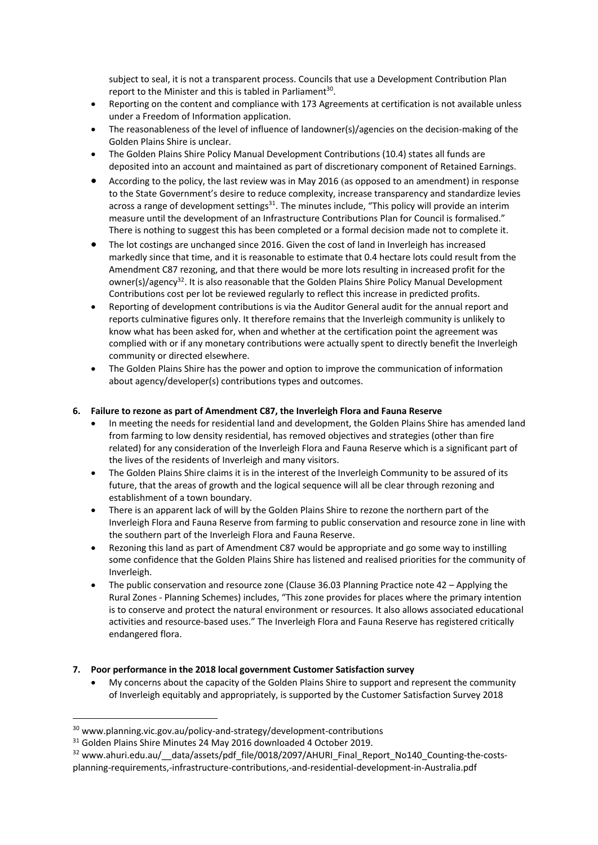subject to seal, it is not a transparent process. Councils that use a Development Contribution Plan report to the Minister and this is tabled in Parliament<sup>30</sup>.

- Reporting on the content and compliance with 173 Agreements at certification is not available unless under a Freedom of Information application.
- The reasonableness of the level of influence of landowner(s)/agencies on the decision-making of the Golden Plains Shire is unclear.
- The Golden Plains Shire Policy Manual Development Contributions (10.4) states all funds are deposited into an account and maintained as part of discretionary component of Retained Earnings.
- According to the policy, the last review was in May 2016 (as opposed to an amendment) in response to the State Government's desire to reduce complexity, increase transparency and standardize levies across a range of development settings<sup>31</sup>. The minutes include, "This policy will provide an interim measure until the development of an Infrastructure Contributions Plan for Council is formalised." There is nothing to suggest this has been completed or a formal decision made not to complete it.
- The lot costings are unchanged since 2016. Given the cost of land in Inverleigh has increased markedly since that time, and it is reasonable to estimate that 0.4 hectare lots could result from the Amendment C87 rezoning, and that there would be more lots resulting in increased profit for the owner(s)/agency<sup>32</sup>. It is also reasonable that the Golden Plains Shire Policy Manual Development Contributions cost per lot be reviewed regularly to reflect this increase in predicted profits.
- Reporting of development contributions is via the Auditor General audit for the annual report and reports culminative figures only. It therefore remains that the Inverleigh community is unlikely to know what has been asked for, when and whether at the certification point the agreement was complied with or if any monetary contributions were actually spent to directly benefit the Inverleigh community or directed elsewhere.
- The Golden Plains Shire has the power and option to improve the communication of information about agency/developer(s) contributions types and outcomes.

## **6. Failure to rezone as part of Amendment C87, the Inverleigh Flora and Fauna Reserve**

- In meeting the needs for residential land and development, the Golden Plains Shire has amended land from farming to low density residential, has removed objectives and strategies (other than fire related) for any consideration of the Inverleigh Flora and Fauna Reserve which is a significant part of the lives of the residents of Inverleigh and many visitors.
- The Golden Plains Shire claims it is in the interest of the Inverleigh Community to be assured of its future, that the areas of growth and the logical sequence will all be clear through rezoning and establishment of a town boundary.
- There is an apparent lack of will by the Golden Plains Shire to rezone the northern part of the Inverleigh Flora and Fauna Reserve from farming to public conservation and resource zone in line with the southern part of the Inverleigh Flora and Fauna Reserve.
- Rezoning this land as part of Amendment C87 would be appropriate and go some way to instilling some confidence that the Golden Plains Shire has listened and realised priorities for the community of Inverleigh.
- The public conservation and resource zone (Clause 36.03 Planning Practice note 42 Applying the Rural Zones - Planning Schemes) includes, "This zone provides for places where the primary intention is to conserve and protect the natural environment or resources. It also allows associated educational activities and resource-based uses." The Inverleigh Flora and Fauna Reserve has registered critically endangered flora.

# **7. Poor performance in the 2018 local government Customer Satisfaction survey**

• My concerns about the capacity of the Golden Plains Shire to support and represent the community of Inverleigh equitably and appropriately, is supported by the Customer Satisfaction Survey 2018

<sup>30</sup> www.planning.vic.gov.au/policy-and-strategy/development-contributions

<sup>&</sup>lt;sup>31</sup> Golden Plains Shire Minutes 24 May 2016 downloaded 4 October 2019.

 $32$  www.ahuri.edu.au/ data/assets/pdf file/0018/2097/AHURI Final Report No140 Counting-the-costsplanning-requirements,-infrastructure-contributions,-and-residential-development-in-Australia.pdf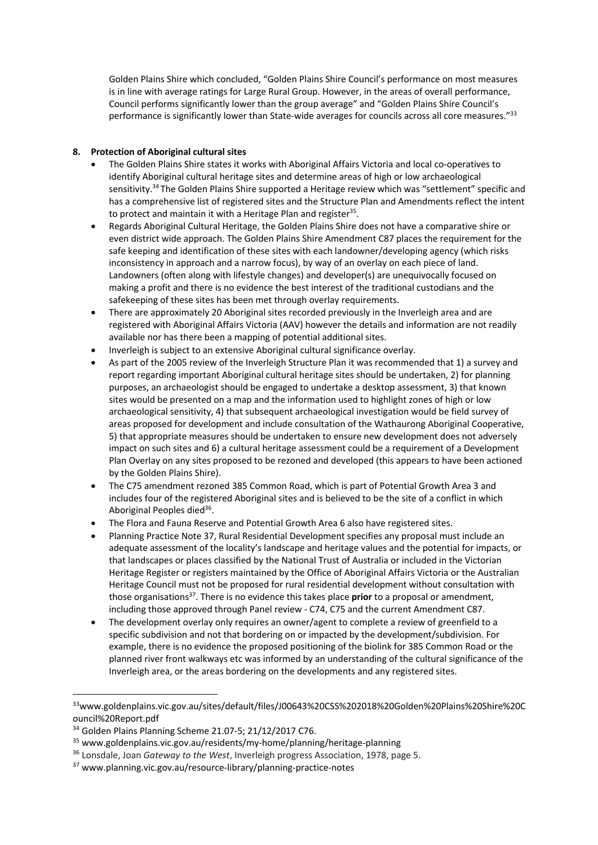Golden Plains Shire which concluded, "Golden Plains Shire Council's performance on most measures is in line with average ratings for Large Rural Group. However, in the areas of overall performance, Council performs significantly lower than the group average" and "Golden Plains Shire Council's performance is significantly lower than State-wide averages for councils across all core measures."33

# **8. Protection of Aboriginal cultural sites**

- The Golden Plains Shire states it works with Aboriginal Affairs Victoria and local co-operatives to identify Aboriginal cultural heritage sites and determine areas of high or low archaeological sensitivity.34 The Golden Plains Shire supported a Heritage review which was "settlement" specific and has a comprehensive list of registered sites and the Structure Plan and Amendments reflect the intent to protect and maintain it with a Heritage Plan and register $35$ .
- Regards Aboriginal Cultural Heritage, the Golden Plains Shire does not have a comparative shire or even district wide approach. The Golden Plains Shire Amendment C87 places the requirement for the safe keeping and identification of these sites with each landowner/developing agency (which risks inconsistency in approach and a narrow focus), by way of an overlay on each piece of land. Landowners (often along with lifestyle changes) and developer(s) are unequivocally focused on making a profit and there is no evidence the best interest of the traditional custodians and the safekeeping of these sites has been met through overlay requirements.
- There are approximately 20 Aboriginal sites recorded previously in the Inverleigh area and are registered with Aboriginal Affairs Victoria (AAV) however the details and information are not readily available nor has there been a mapping of potential additional sites.
- Inverleigh is subject to an extensive Aboriginal cultural significance overlay.
- As part of the 2005 review of the Inverleigh Structure Plan it was recommended that 1) a survey and report regarding important Aboriginal cultural heritage sites should be undertaken, 2) for planning purposes, an archaeologist should be engaged to undertake a desktop assessment, 3) that known sites would be presented on a map and the information used to highlight zones of high or low archaeological sensitivity, 4) that subsequent archaeological investigation would be field survey of areas proposed for development and include consultation of the Wathaurong Aboriginal Cooperative, 5) that appropriate measures should be undertaken to ensure new development does not adversely impact on such sites and 6) a cultural heritage assessment could be a requirement of a Development Plan Overlay on any sites proposed to be rezoned and developed (this appears to have been actioned by the Golden Plains Shire).
- The C75 amendment rezoned 385 Common Road, which is part of Potential Growth Area 3 and includes four of the registered Aboriginal sites and is believed to be the site of a conflict in which Aboriginal Peoples died<sup>36</sup>.
- The Flora and Fauna Reserve and Potential Growth Area 6 also have registered sites.
- Planning Practice Note 37, Rural Residential Development specifies any proposal must include an adequate assessment of the locality's landscape and heritage values and the potential for impacts, or that landscapes or places classified by the National Trust of Australia or included in the Victorian Heritage Register or registers maintained by the Office of Aboriginal Affairs Victoria or the Australian Heritage Council must not be proposed for rural residential development without consultation with those organisations37. There is no evidence this takes place **prior** to a proposal or amendment, including those approved through Panel review - C74, C75 and the current Amendment C87.
- The development overlay only requires an owner/agent to complete a review of greenfield to a specific subdivision and not that bordering on or impacted by the development/subdivision. For example, there is no evidence the proposed positioning of the biolink for 385 Common Road or the planned river front walkways etc was informed by an understanding of the cultural significance of the Inverleigh area, or the areas bordering on the developments and any registered sites.

<sup>33</sup>www.goldenplains.vic.gov.au/sites/default/files/J00643%20CSS%202018%20Golden%20Plains%20Shire%20C ouncil%20Report.pdf

<sup>34</sup> Golden Plains Planning Scheme 21.07-5; 21/12/2017 C76.

<sup>35</sup> www.goldenplains.vic.gov.au/residents/my-home/planning/heritage-planning

<sup>36</sup> Lonsdale, Joan *Gateway to the West*, Inverleigh progress Association, 1978, page 5.

<sup>37</sup> www.planning.vic.gov.au/resource-library/planning-practice-notes